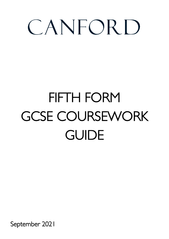# CANFORD

## FIFTH FORM GCSE COURSEWORK GUIDE

September 2021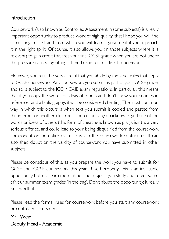#### Introduction

Coursework (also known as Controlled Assessment in some subjects) is a really important opportunity to produce work of high quality, that I hope you will find stimulating in itself, and from which you will learn a great deal, if you approach it in the right spirit. Of course, it also allows you (in those subjects where it is relevant) to gain credit towards your final GCSE grade when you are not under the pressure caused by sitting a timed exam under direct supervision.

However, you must be very careful that you abide by the strict rules that apply to GCSE coursework. Any coursework you submit is part of your GCSE grade, and so is subject to the JCQ / CAIE exam regulations. In particular, this means that if you copy the words or ideas of others and don't show your sources in references and a bibliography, it will be considered cheating. The most common way in which this occurs is when text you submit is copied and pasted from the internet or another electronic source, but any unacknowledged use of the words or ideas of others (this form of cheating is known as plagiarism) is a very serious offence, and could lead to your being disqualified from the coursework component or the entire exam to which the coursework contributes. It can also shed doubt on the validity of coursework you have submitted in other subjects.

Please be conscious of this, as you prepare the work you have to submit for GCSE and IGCSE coursework this year. Used properly, this is an invaluable opportunity both to learn more about the subjects you study and to get some of your summer exam grades 'in the bag'. Don't abuse the opportunity: it really isn't worth it.

Please read the formal rules for coursework before you start any coursework or controlled assessment.

Mr I Weir Deputy Head - Academic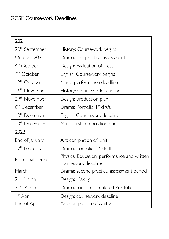## GCSE Coursework Deadlines

| 2021                       |                                             |  |
|----------------------------|---------------------------------------------|--|
| 20 <sup>th</sup> September | History: Coursework begins                  |  |
| October 2021               | Drama: first practical assessment           |  |
| 4 <sup>th</sup> October    | Design: Evaluation of Ideas                 |  |
| 4 <sup>th</sup> October    | English: Coursework begins                  |  |
| 12 <sup>th</sup> October   | Music: performance deadline                 |  |
| 26 <sup>th</sup> November  | History: Coursework deadline                |  |
| 29 <sup>th</sup> November  | Design: production plan                     |  |
| 6 <sup>th</sup> December   | Drama: Portfolio 1 <sup>st</sup> draft      |  |
| 10 <sup>th</sup> December  | English: Coursework deadline                |  |
| 10 <sup>th</sup> December  | Music: first composition due                |  |
| 2022                       |                                             |  |
| End of January             | Art: completion of Unit I                   |  |
| 17 <sup>th</sup> February  | Drama: Portfolio 2 <sup>nd</sup> draft      |  |
| Easter half-term           | Physical Education: performance and written |  |
|                            | coursework deadline                         |  |
| March                      | Drama: second practical assessment period   |  |
| 21 <sup>st</sup> March     | Design: Making                              |  |
| 31 <sup>st</sup> March     | Drama: hand in completed Portfolio          |  |
| I <sup>st</sup> April      | Design: coursework deadline                 |  |
| End of April               | Art: completion of Unit 2                   |  |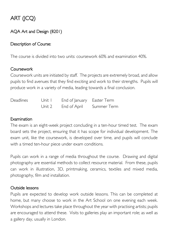## ART (JCQ)

#### AQA Art and Design (8201)

#### Description of Course:

The course is divided into two units: coursework 60% and examination 40%.

#### Coursework

Coursework units are initiated by staff. The projects are extremely broad, and allow pupils to find avenues that they find exciting and work to their strengths. Pupils will produce work in a variety of media, leading towards a final conclusion.

| <b>Deadlines</b> | Unit I | End of January Easter Term      |  |
|------------------|--------|---------------------------------|--|
|                  |        | Unit 2 End of April Summer Term |  |

#### **Examination**

The exam is an eight-week project concluding in a ten-hour timed test. The exam board sets the project, ensuring that it has scope for individual development. The exam unit, like the coursework, is developed over time, and pupils will conclude with a timed ten-hour piece under exam conditions.

Pupils can work in a range of media throughout the course. Drawing and digital photography are essential methods to collect resource material. From these, pupils can work in illustration, 3D, printmaking, ceramics, textiles and mixed media, photography, film and installation.

#### Outside lessons

Pupils are expected to develop work outside lessons. This can be completed at home, but many choose to work in the Art School on one evening each week. Workshops and lectures take place throughout the year with practising artists; pupils are encouraged to attend these. Visits to galleries play an important role; as well as a gallery day, usually in London.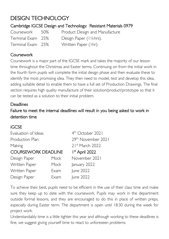## DESIGN TECHNOLOGY

#### Cambridge IGCSE Design and Technology: Resistant Materials 0979

Coursework 50% Product Design and Manufacture Terminal Exam 25% Design Paper (1¼hrs). Terminal Exam 25% Written Paper (1hr).

#### **Coursework**

Coursework is a major part of the IGCSE mark and takes the majority of our lesson time throughout the Christmas and Easter terms. Continuing on from the initial work in the fourth form pupils will complete the initial design phase and then evaluate these to identify the most promising idea. They then need to model, test and develop this idea, adding suitable detail to enable them to have a full set of Production Drawings. The final section requires high quality manufacture of their solution/product/prototype so that it can be tested as a solution to their initial problem.

#### **Deadlines**

Failure to meet the internal deadlines will result in you being asked to work in detention time

#### iGCSE

| Evaluation of Ideas        |      | 4 <sup>th</sup> October 2021 |  |
|----------------------------|------|------------------------------|--|
| Production Plan            |      | 29th November 2021           |  |
| Making                     |      | 21st March 2022              |  |
| <b>COURSEWORK DEADLINE</b> |      | $Ist$ April 2022             |  |
| Design Paper               | Mock | November 2021                |  |
| Written Paper              | Mock | January 2022                 |  |
| Written Paper              | Exam | June 2022                    |  |
| Design Paper               | Exam | June 2022                    |  |
|                            |      |                              |  |

To achieve their best, pupils need to be efficient in the use of their class time and make sure they keep up to date with the coursework. Pupils may work in the department outside formal lessons, and they are encouraged to do this in place of written preps, especially during Easter term. The department is open until 18:30 during the week for project work.

Understandably time is a little tighter this year and although working to these deadlines is fine, we suggest giving yourself time to react to unforeseen problems.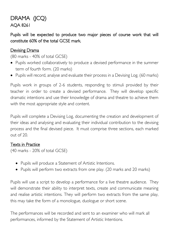## DRAMA (JCQ) AQA 8261

Pupils will be expected to produce two major pieces of course work that will constitute 60% of the total GCSE mark.

#### Devising Drama

(80 marks - 40% of total GCSE)

- Pupils worked collaboratively to produce a devised performance in the summer term of fourth form. (20 marks)
- Pupils will record, analyse and evaluate their process in a Devising Log. (60 marks)

Pupils work in groups of 2-6 students, responding to stimuli provided by their teacher in order to create a devised performance. They will develop specific dramatic intentions and use their knowledge of drama and theatre to achieve them with the most appropriate style and content.

Pupils will complete a Devising Log, documenting the creation and development of their ideas and analysing and evaluating their individual contribution to the devising process and the final devised piece. It must comprise three sections, each marked out of 20.

#### Texts in Practice

(40 marks - 20% of total GCSE)

- Pupils will produce a Statement of Artistic Intentions.
- Pupils will perform two extracts from one play. (20 marks and 20 marks)

Pupils will use a script to develop a performance for a live theatre audience. They will demonstrate their ability to interpret texts, create and communicate meaning and realise artistic intentions. They will perform two extracts from the same play, this may take the form of a monologue, duologue or short scene.

The performances will be recorded and sent to an examiner who will mark all performances, informed by the Statement of Artistic Intentions.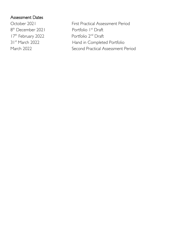#### Assessment Dates

8<sup>th</sup> December 2021 **Portfolio I<sup>st</sup> Draft** 17<sup>th</sup> February 2022 Portfolio 2<sup>nd</sup> Draft

October 2021 First Practical Assessment Period 31<sup>st</sup> March 2022 Hand in Completed Portfolio March 2022 Second Practical Assessment Period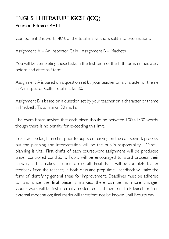## ENGLISH LITERATURE IGCSE (JCQ) Pearson Edexcel 4ET1

Component 3 is worth 40% of the total marks and is split into two sections:

Assignment A – An Inspector Calls Assignment B – Macbeth

You will be completing these tasks in the first term of the Fifth form, immediately before and after half term.

Assignment A is based on a question set by your teacher on a character or theme in An Inspector Calls. Total marks: 30.

Assignment B is based on a question set by your teacher on a character or theme in Macbeth. Total marks: 30 marks.

The exam board advises that each piece should be between 1000-1500 words, though there is no penalty for exceeding this limit.

Texts will be taught in class prior to pupils embarking on the coursework process, but the planning and interpretation will be the pupil's responsibility. Careful planning is vital. First drafts of each coursework assignment will be produced under controlled conditions. Pupils will be encouraged to word process their answer, as this makes it easier to re-draft. Final drafts will be completed, after feedback from the teacher, in both class and prep time. Feedback will take the form of identifying general areas for improvement. Deadlines must be adhered to, and once the final piece is marked, there can be no more changes. Coursework will be first internally moderated, and then sent to Edexcel for final, external moderation; final marks will therefore not be known until Results day.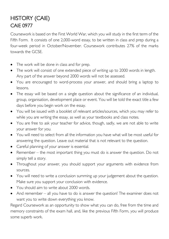## HISTORY (CAIE) CAIE 0977

Coursework is based on the First World War, which you will study in the first term of the Fifth Form. It consists of one 2,000-word essay, to be written in class and prep during a four-week period in October/November. Coursework contributes 27% of the marks towards the GCSE.

- The work will be done in class and for prep.
- The work will consist of one extended piece of writing up to 2000 words in length. Any part of the answer beyond 2000 words will not be assessed.
- You are encouraged to word-process your answer, and should bring a laptop to lessons.
- The essay will be based on a single question about the significance of an individual, group, organisation, development place or event. You will be told the exact title a few days before you begin work on the essay.
- You will be issued with a booklet of relevant articles/sources, which you may refer to while you are writing the essay, as well as your textbooks and class notes.
- You are free to ask your teacher for advice, though, sadly, we are not able to write your answer for you.
- You will need to select from all the information you have what will be most useful for answering the question. Leave out material that is not relevant to the question.
- Careful planning of your answer is essential.
- Remember the most important thing you must do is answer the question. Do not simply tell a story.
- Throughout your answer, you should support your arguments with evidence from sources.
- You will need to write a conclusion summing up your judgement about the question. Make sure you support your conclusion with evidence.
- You should aim to write about 2000 words.
- And remember all you have to do is answer the question! The examiner does not want you to write down everything you know.

Regard Coursework as an opportunity to show what you can do, free from the time and memory constraints of the exam hall, and, like the previous Fifth Form, you will produce some superb work.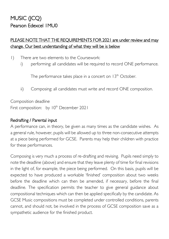## MUSIC (JCQ) Pearson Edexcel 1MU0

#### PLEASE NOTE THAT THE REQUIREMENTS FOR 2021 are under review and may change. Our best understanding of what they will be is below

- 1) There are two elements to the Coursework:
	- i) performing: all candidates will be required to record ONE performance.

The performance takes place in a concert on  $13<sup>th</sup>$  October.

ii) Composing: all candidates must write and record ONE composition.

Composition deadline

First composition: by 10<sup>th</sup> December 2021

#### Redrafting / Parental input

A performance can, in theory, be given as many times as the candidate wishes. As a general rule, however, pupils will be allowed up to three non-consecutive attempts at a piece being performed for GCSE. Parents may help their children with practice for these performances.

Composing is very much a process of re-drafting and revising. Pupils need simply to note the deadline (above) and ensure that they leave plenty of time for final revisions in the light of, for example, the piece being performed. On this basis, pupils will be expected to have produced a workable 'finished' composition about two weeks before the deadline which can then be amended, if necessary, before the final deadline. The specification permits the teacher to give general guidance about compositional techniques which can then be applied specifically by the candidate. As GCSE Music compositions must be completed under controlled conditions, parents cannot, and should not, be involved in the process of GCSE composition save as a sympathetic audience for the finished product.